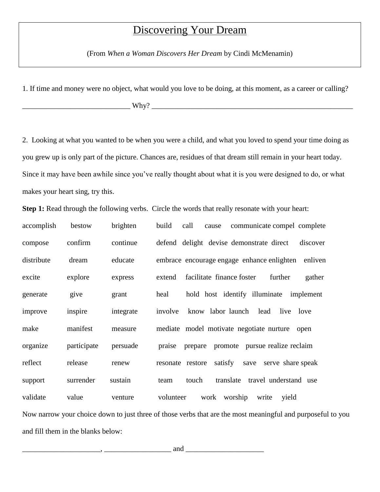## Discovering Your Dream

(From *When a Woman Discovers Her Dream* by Cindi McMenamin)

1. If time and money were no object, what would you love to be doing, at this moment, as a career or calling?

\_\_\_\_\_\_\_\_\_\_\_\_\_\_\_\_\_\_\_\_\_\_\_\_\_\_\_\_\_ Why? \_\_\_\_\_\_\_\_\_\_\_\_\_\_\_\_\_\_\_\_\_\_\_\_\_\_\_\_\_\_\_\_\_\_\_\_\_\_\_\_\_\_\_\_\_\_\_\_\_\_\_\_\_\_

2. Looking at what you wanted to be when you were a child, and what you loved to spend your time doing as you grew up is only part of the picture. Chances are, residues of that dream still remain in your heart today. Since it may have been awhile since you've really thought about what it is you were designed to do, or what makes your heart sing, try this.

Step 1: Read through the following verbs. Circle the words that really resonate with your heart:

accomplish bestow brighten build call cause communicate compel complete compose confirm continue defend delight devise demonstrate direct discover distribute dream educate embrace encourage engage enhance enlighten enliven excite explore express extend facilitate finance foster further gather generate give grant heal hold host identify illuminate implement improve inspire integrate involve know labor launch lead live love make manifest measure mediate model motivate negotiate nurture open organize participate persuade praise prepare promote pursue realize reclaim reflect release renew resonate restore satisfy save serve share speak support surrender sustain team touch translate travel understand use validate value venture volunteer work worship write yield Now narrow your choice down to just three of those verbs that are the most meaningful and purposeful to you and fill them in the blanks below: